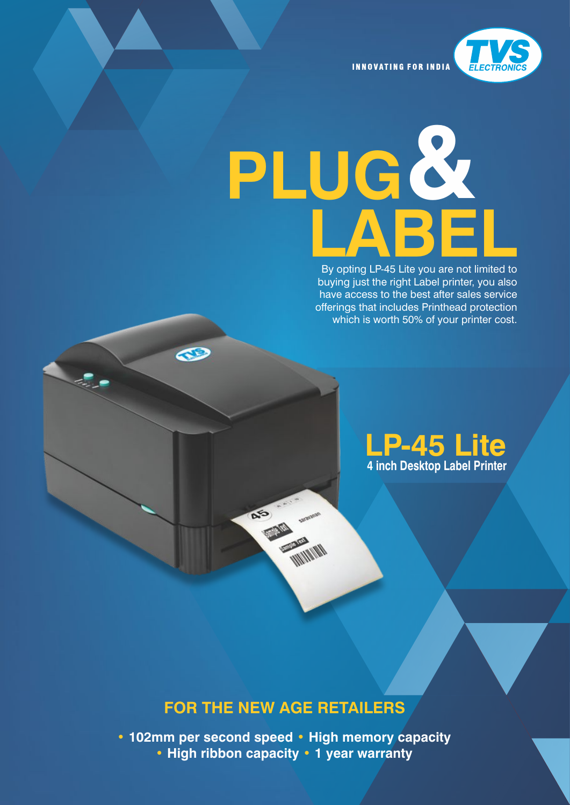

**INNOVATING FOR INDIA** 

# **PLUG & LABEL**<br>By opting LP-45 Lite you are not limited to

By opting LP-45 Lite you are not limited to buying just the right Label printer, you also have access to the best after sales service offerings that includes Printhead protection which is worth 50% of your printer cost.

## **LP-45 Lite 4 inch Desktop Label Printer**

## **FOR THE NEW AGE RETAILERS**

B

**• 102mm per second speed • High memory capacity • High ribbon capacity • 1 year warranty**